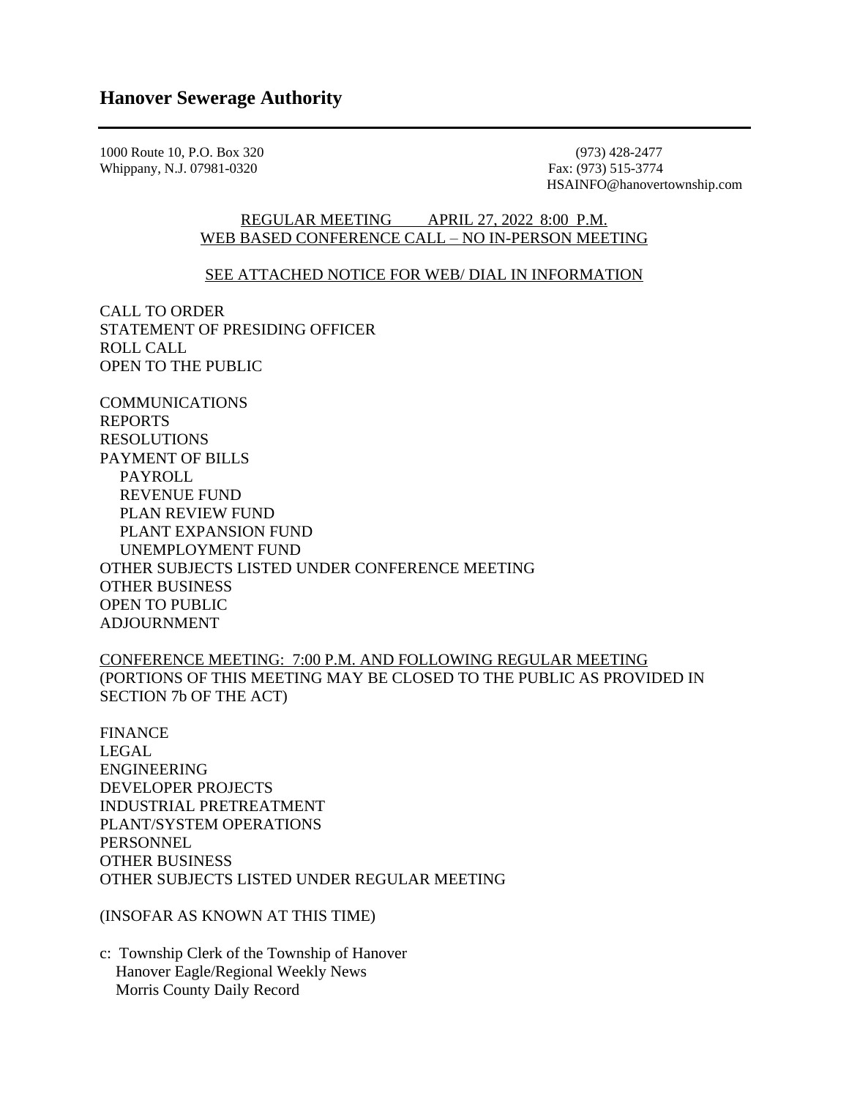1000 Route 10, P.O. Box 320 (973) 428-2477 (973) 428-2477 (973) 428-2477 (973) 428-2477 Whippany, N.J. 07981-0320

HSAINFO@hanovertownship.com

## REGULAR MEETING APRIL 27, 2022 8:00 P.M. WEB BASED CONFERENCE CALL – NO IN-PERSON MEETING

## SEE ATTACHED NOTICE FOR WEB/ DIAL IN INFORMATION

CALL TO ORDER STATEMENT OF PRESIDING OFFICER ROLL CALL OPEN TO THE PUBLIC

COMMUNICATIONS REPORTS RESOLUTIONS PAYMENT OF BILLS PAYROLL REVENUE FUND PLAN REVIEW FUND PLANT EXPANSION FUND UNEMPLOYMENT FUND OTHER SUBJECTS LISTED UNDER CONFERENCE MEETING OTHER BUSINESS OPEN TO PUBLIC ADJOURNMENT

CONFERENCE MEETING: 7:00 P.M. AND FOLLOWING REGULAR MEETING (PORTIONS OF THIS MEETING MAY BE CLOSED TO THE PUBLIC AS PROVIDED IN SECTION 7b OF THE ACT)

FINANCE LEGAL ENGINEERING DEVELOPER PROJECTS INDUSTRIAL PRETREATMENT PLANT/SYSTEM OPERATIONS **PERSONNEL** OTHER BUSINESS OTHER SUBJECTS LISTED UNDER REGULAR MEETING

(INSOFAR AS KNOWN AT THIS TIME)

c: Township Clerk of the Township of Hanover Hanover Eagle/Regional Weekly News Morris County Daily Record